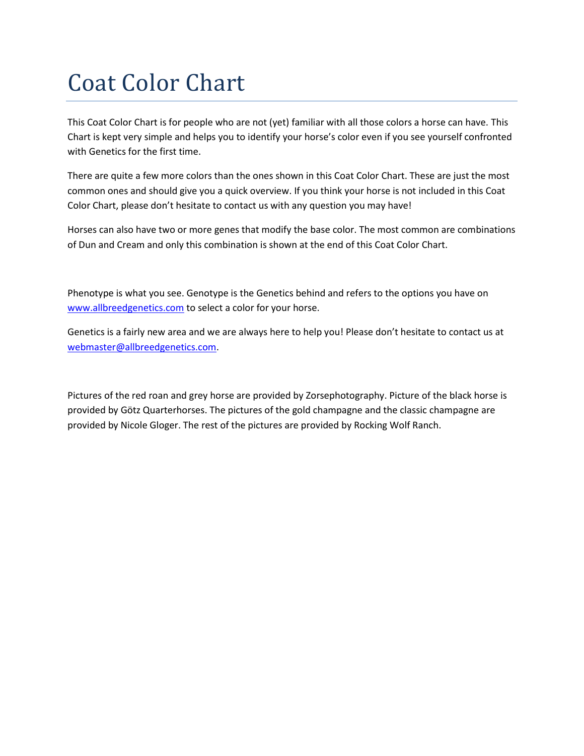# Coat Color Chart

This Coat Color Chart is for people who are not (yet) familiar with all those colors a horse can have. This Chart is kept very simple and helps you to identify your horse's color even if you see yourself confronted with Genetics for the first time.

There are quite a few more colors than the ones shown in this Coat Color Chart. These are just the most common ones and should give you a quick overview. If you think your horse is not included in this Coat Color Chart, please don't hesitate to contact us with any question you may have!

Horses can also have two or more genes that modify the base color. The most common are combinations of Dun and Cream and only this combination is shown at the end of this Coat Color Chart.

Phenotype is what you see. Genotype is the Genetics behind and refers to the options you have on [www.allbreedgenetics.com](http://www.allbreedgenetics.com/) to select a color for your horse.

Genetics is a fairly new area and we are always here to help you! Please don't hesitate to contact us at [webmaster@allbreedgenetics.com.](mailto:webmaster@allbreedgenetics.com)

Pictures of the red roan and grey horse are provided by Zorsephotography. Picture of the black horse is provided by Götz Quarterhorses. The pictures of the gold champagne and the classic champagne are provided by Nicole Gloger. The rest of the pictures are provided by Rocking Wolf Ranch.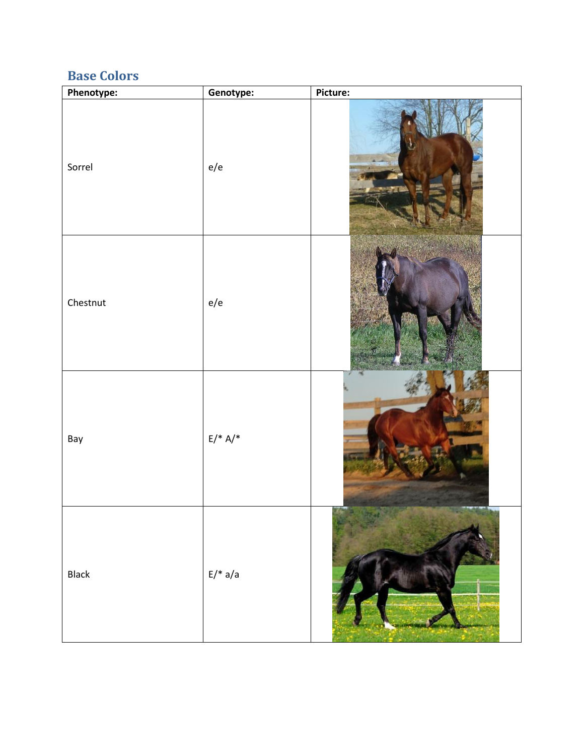#### **Base Colors**

| Phenotype: | Genotype:                    | Picture: |
|------------|------------------------------|----------|
| Sorrel     | e/e                          |          |
| Chestnut   | $\rm e/e$                    |          |
| Bay        | $\mathsf{E}/\mathsf{^*}$ A/* |          |
| Black      | $E/* a/a$                    |          |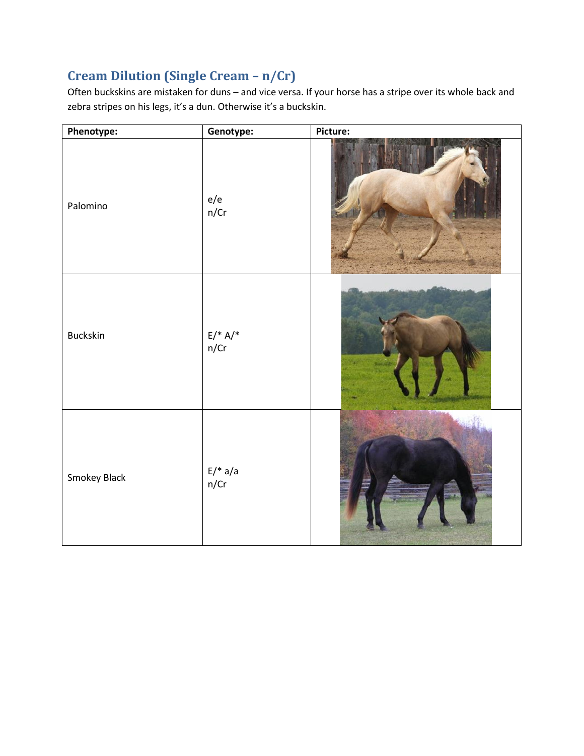### **Cream Dilution (Single Cream – n/Cr)**

Often buckskins are mistaken for duns – and vice versa. If your horse has a stripe over its whole back and zebra stripes on his legs, it's a dun. Otherwise it's a buckskin.

| Phenotype:      | Genotype:                   | Picture: |
|-----------------|-----------------------------|----------|
| Palomino        | e/e<br>n/Cr                 |          |
| <b>Buckskin</b> | $E/* A/*n/Cr$               |          |
| Smokey Black    | $\mathsf{E}/^*$ a/a<br>n/Cr |          |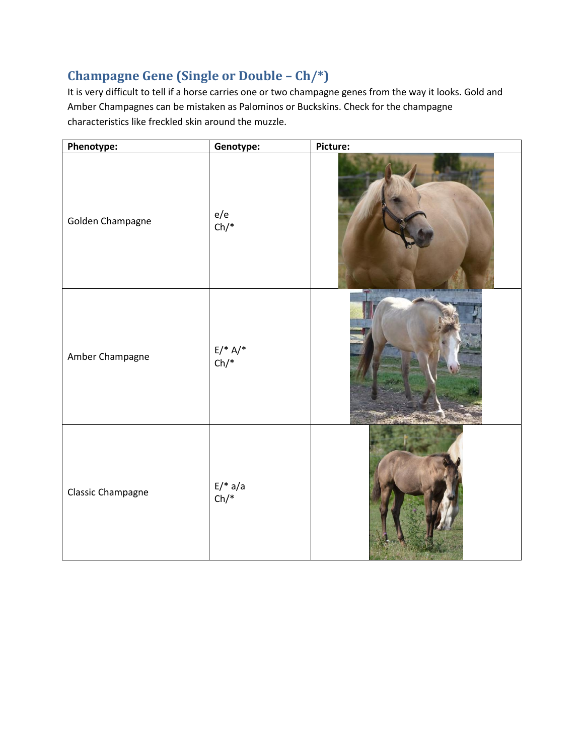#### **Champagne Gene (Single or Double – Ch/\*)**

It is very difficult to tell if a horse carries one or two champagne genes from the way it looks. Gold and Amber Champagnes can be mistaken as Palominos or Buckskins. Check for the champagne characteristics like freckled skin around the muzzle.

| Phenotype:               | Genotype:           | Picture: |
|--------------------------|---------------------|----------|
| Golden Champagne         | e/e<br>$Ch/*$       |          |
| Amber Champagne          | $E/* A/*$<br>Ch/*   |          |
| <b>Classic Champagne</b> | $E/* a/a$<br>$Ch/*$ |          |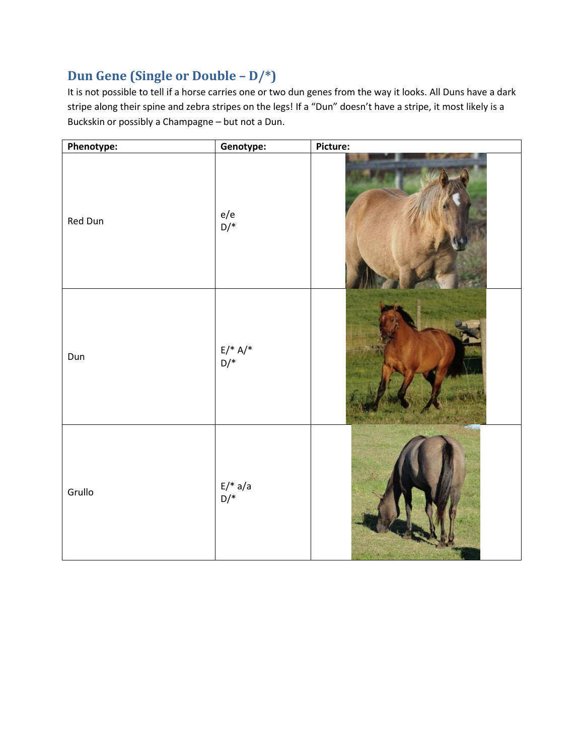#### **Dun Gene (Single or Double – D/\*)**

It is not possible to tell if a horse carries one or two dun genes from the way it looks. All Duns have a dark stripe along their spine and zebra stripes on the legs! If a "Dun" doesn't have a stripe, it most likely is a Buckskin or possibly a Champagne – but not a Dun.

| Phenotype: | Genotype:        | Picture: |
|------------|------------------|----------|
| Red Dun    | e/e<br>D/*       |          |
| Dun        | $E/* A/*$<br>D/* |          |
| Grullo     | $E/* a/a$<br>D/* |          |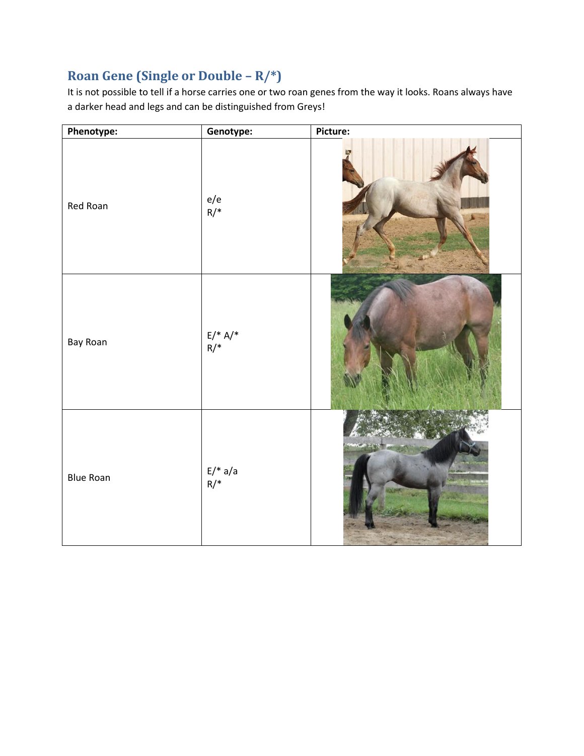### **Roan Gene (Single or Double – R/\*)**

It is not possible to tell if a horse carries one or two roan genes from the way it looks. Roans always have a darker head and legs and can be distinguished from Greys!

| Phenotype:       | Genotype:        | Picture: |
|------------------|------------------|----------|
| Red Roan         | e/e<br>R/*       |          |
| Bay Roan         | $E/* A/*$<br>R/* |          |
| <b>Blue Roan</b> | $E/* a/a$<br>R/* |          |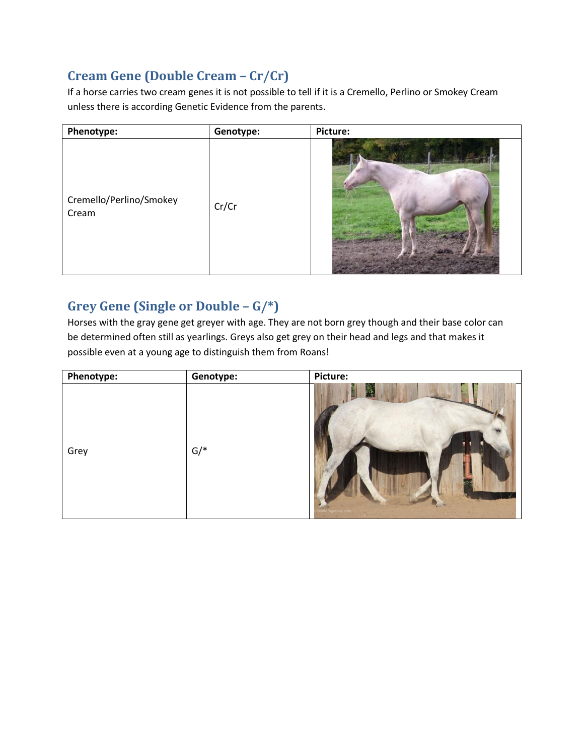#### **Cream Gene (Double Cream – Cr/Cr)**

If a horse carries two cream genes it is not possible to tell if it is a Cremello, Perlino or Smokey Cream unless there is according Genetic Evidence from the parents.

| Phenotype:                       | Genotype: | Picture: |
|----------------------------------|-----------|----------|
| Cremello/Perlino/Smokey<br>Cream | Cr/Cr     |          |

#### **Grey Gene (Single or Double – G/\*)**

Horses with the gray gene get greyer with age. They are not born grey though and their base color can be determined often still as yearlings. Greys also get grey on their head and legs and that makes it possible even at a young age to distinguish them from Roans!

| Phenotype: | Genotype:                | Picture: |
|------------|--------------------------|----------|
| Grey       | $\mathsf{G}/\mathsf{^*}$ |          |